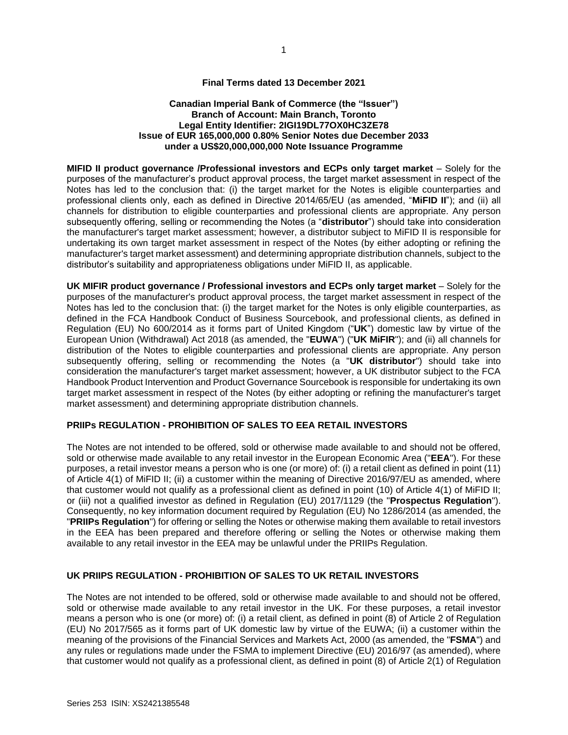## **Final Terms dated 13 December 2021**

#### **Canadian Imperial Bank of Commerce (the "Issuer") Branch of Account: Main Branch, Toronto Legal Entity Identifier: 2IGI19DL77OX0HC3ZE78 Issue of EUR 165,000,000 0.80% Senior Notes due December 2033 under a US\$20,000,000,000 Note Issuance Programme**

**MIFID II product governance /Professional investors and ECPs only target market** – Solely for the purposes of the manufacturer's product approval process, the target market assessment in respect of the Notes has led to the conclusion that: (i) the target market for the Notes is eligible counterparties and professional clients only, each as defined in Directive 2014/65/EU (as amended, "**MiFID II**"); and (ii) all channels for distribution to eligible counterparties and professional clients are appropriate. Any person subsequently offering, selling or recommending the Notes (a "**distributor**") should take into consideration the manufacturer's target market assessment; however, a distributor subject to MiFID II is responsible for undertaking its own target market assessment in respect of the Notes (by either adopting or refining the manufacturer's target market assessment) and determining appropriate distribution channels, subject to the distributor's suitability and appropriateness obligations under MiFID II, as applicable.

**UK MIFIR product governance / Professional investors and ECPs only target market** – Solely for the purposes of the manufacturer's product approval process, the target market assessment in respect of the Notes has led to the conclusion that: (i) the target market for the Notes is only eligible counterparties, as defined in the FCA Handbook Conduct of Business Sourcebook, and professional clients, as defined in Regulation (EU) No 600/2014 as it forms part of United Kingdom ("**UK**") domestic law by virtue of the European Union (Withdrawal) Act 2018 (as amended, the "**EUWA**") ("**UK MiFIR**"); and (ii) all channels for distribution of the Notes to eligible counterparties and professional clients are appropriate. Any person subsequently offering, selling or recommending the Notes (a "**UK distributor**") should take into consideration the manufacturer's target market assessment; however, a UK distributor subject to the FCA Handbook Product Intervention and Product Governance Sourcebook is responsible for undertaking its own target market assessment in respect of the Notes (by either adopting or refining the manufacturer's target market assessment) and determining appropriate distribution channels.

## **PRIIPs REGULATION - PROHIBITION OF SALES TO EEA RETAIL INVESTORS**

The Notes are not intended to be offered, sold or otherwise made available to and should not be offered, sold or otherwise made available to any retail investor in the European Economic Area ("**EEA**"). For these purposes, a retail investor means a person who is one (or more) of: (i) a retail client as defined in point (11) of Article 4(1) of MiFID II; (ii) a customer within the meaning of Directive 2016/97/EU as amended, where that customer would not qualify as a professional client as defined in point (10) of Article 4(1) of MiFID II; or (iii) not a qualified investor as defined in Regulation (EU) 2017/1129 (the "**Prospectus Regulation**"). Consequently, no key information document required by Regulation (EU) No 1286/2014 (as amended, the "**PRIIPs Regulation**") for offering or selling the Notes or otherwise making them available to retail investors in the EEA has been prepared and therefore offering or selling the Notes or otherwise making them available to any retail investor in the EEA may be unlawful under the PRIIPs Regulation.

#### **UK PRIIPS REGULATION - PROHIBITION OF SALES TO UK RETAIL INVESTORS**

The Notes are not intended to be offered, sold or otherwise made available to and should not be offered, sold or otherwise made available to any retail investor in the UK. For these purposes, a retail investor means a person who is one (or more) of: (i) a retail client, as defined in point (8) of Article 2 of Regulation (EU) No 2017/565 as it forms part of UK domestic law by virtue of the EUWA; (ii) a customer within the meaning of the provisions of the Financial Services and Markets Act, 2000 (as amended, the "**FSMA**") and any rules or regulations made under the FSMA to implement Directive (EU) 2016/97 (as amended), where that customer would not qualify as a professional client, as defined in point (8) of Article 2(1) of Regulation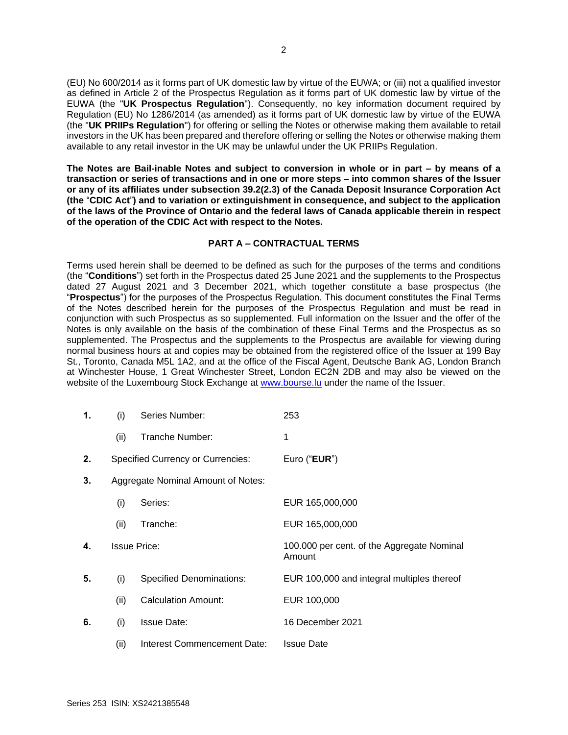(EU) No 600/2014 as it forms part of UK domestic law by virtue of the EUWA; or (iii) not a qualified investor as defined in Article 2 of the Prospectus Regulation as it forms part of UK domestic law by virtue of the EUWA (the "**UK Prospectus Regulation**"). Consequently, no key information document required by Regulation (EU) No 1286/2014 (as amended) as it forms part of UK domestic law by virtue of the EUWA (the "**UK PRIIPs Regulation**") for offering or selling the Notes or otherwise making them available to retail investors in the UK has been prepared and therefore offering or selling the Notes or otherwise making them available to any retail investor in the UK may be unlawful under the UK PRIIPs Regulation.

**The Notes are Bail-inable Notes and subject to conversion in whole or in part – by means of a transaction or series of transactions and in one or more steps – into common shares of the Issuer or any of its affiliates under subsection 39.2(2.3) of the Canada Deposit Insurance Corporation Act (the** "**CDIC Act**"**) and to variation or extinguishment in consequence, and subject to the application of the laws of the Province of Ontario and the federal laws of Canada applicable therein in respect of the operation of the CDIC Act with respect to the Notes.**

#### **PART A – CONTRACTUAL TERMS**

Terms used herein shall be deemed to be defined as such for the purposes of the terms and conditions (the "**Conditions**") set forth in the Prospectus dated 25 June 2021 and the supplements to the Prospectus dated 27 August 2021 and 3 December 2021, which together constitute a base prospectus (the "**Prospectus**") for the purposes of the Prospectus Regulation. This document constitutes the Final Terms of the Notes described herein for the purposes of the Prospectus Regulation and must be read in conjunction with such Prospectus as so supplemented. Full information on the Issuer and the offer of the Notes is only available on the basis of the combination of these Final Terms and the Prospectus as so supplemented. The Prospectus and the supplements to the Prospectus are available for viewing during normal business hours at and copies may be obtained from the registered office of the Issuer at 199 Bay St., Toronto, Canada M5L 1A2, and at the office of the Fiscal Agent, Deutsche Bank AG, London Branch at Winchester House, 1 Great Winchester Street, London EC2N 2DB and may also be viewed on the website of the Luxembourg Stock Exchange at [www.bourse.lu](http://www.bourse.lu/) under the name of the Issuer.

| 1. | (i)  | Series Number:                           | 253                                                  |
|----|------|------------------------------------------|------------------------------------------------------|
|    | (ii) | Tranche Number:                          | 1                                                    |
| 2. |      | <b>Specified Currency or Currencies:</b> | Euro ("EUR")                                         |
| 3. |      | Aggregate Nominal Amount of Notes:       |                                                      |
|    | (i)  | Series:                                  | EUR 165,000,000                                      |
|    | (ii) | Tranche:                                 | EUR 165,000,000                                      |
| 4. |      | <b>Issue Price:</b>                      | 100.000 per cent. of the Aggregate Nominal<br>Amount |
| 5. | (i)  | <b>Specified Denominations:</b>          | EUR 100,000 and integral multiples thereof           |
|    | (ii) | <b>Calculation Amount:</b>               | EUR 100,000                                          |
| 6. | (i)  | <b>Issue Date:</b>                       | 16 December 2021                                     |
|    | (ii) | Interest Commencement Date:              | <b>Issue Date</b>                                    |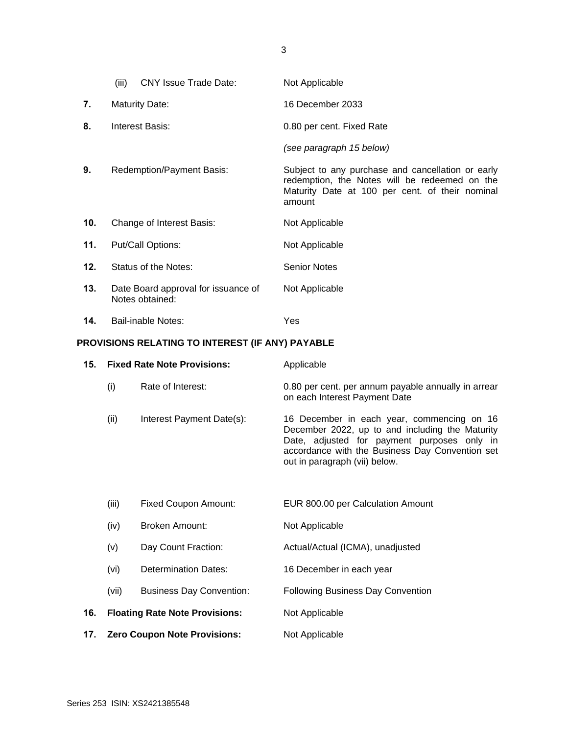|     | (iii) | CNY Issue Trade Date:                                  | Not Applicable                                                                                                                                                  |
|-----|-------|--------------------------------------------------------|-----------------------------------------------------------------------------------------------------------------------------------------------------------------|
| 7.  |       | <b>Maturity Date:</b>                                  | 16 December 2033                                                                                                                                                |
| 8.  |       | Interest Basis:                                        | 0.80 per cent. Fixed Rate                                                                                                                                       |
|     |       |                                                        | (see paragraph 15 below)                                                                                                                                        |
| 9.  |       | <b>Redemption/Payment Basis:</b>                       | Subject to any purchase and cancellation or early<br>redemption, the Notes will be redeemed on the<br>Maturity Date at 100 per cent. of their nominal<br>amount |
| 10. |       | Change of Interest Basis:                              | Not Applicable                                                                                                                                                  |
| 11. |       | Put/Call Options:                                      | Not Applicable                                                                                                                                                  |
| 12. |       | Status of the Notes:                                   | <b>Senior Notes</b>                                                                                                                                             |
| 13. |       | Date Board approval for issuance of<br>Notes obtained: | Not Applicable                                                                                                                                                  |

# **PROVISIONS RELATING TO INTEREST (IF ANY) PAYABLE**

**14.** Bail-inable Notes: Yes

| 15. |                                     | <b>Fixed Rate Note Provisions:</b>    | Applicable                                                                                                                                                                                                                       |
|-----|-------------------------------------|---------------------------------------|----------------------------------------------------------------------------------------------------------------------------------------------------------------------------------------------------------------------------------|
|     | (i)                                 | Rate of Interest:                     | 0.80 per cent. per annum payable annually in arrear<br>on each Interest Payment Date                                                                                                                                             |
|     | (ii)                                | Interest Payment Date(s):             | 16 December in each year, commencing on 16<br>December 2022, up to and including the Maturity<br>Date, adjusted for payment purposes only in<br>accordance with the Business Day Convention set<br>out in paragraph (vii) below. |
|     | (iii)                               | <b>Fixed Coupon Amount:</b>           | EUR 800.00 per Calculation Amount                                                                                                                                                                                                |
|     | (iv)                                | Broken Amount:                        | Not Applicable                                                                                                                                                                                                                   |
|     | (v)                                 | Day Count Fraction:                   | Actual/Actual (ICMA), unadjusted                                                                                                                                                                                                 |
|     | (vi)                                | <b>Determination Dates:</b>           | 16 December in each year                                                                                                                                                                                                         |
|     | (vii)                               | <b>Business Day Convention:</b>       | <b>Following Business Day Convention</b>                                                                                                                                                                                         |
| 16. |                                     | <b>Floating Rate Note Provisions:</b> | Not Applicable                                                                                                                                                                                                                   |
| 17. | <b>Zero Coupon Note Provisions:</b> |                                       | Not Applicable                                                                                                                                                                                                                   |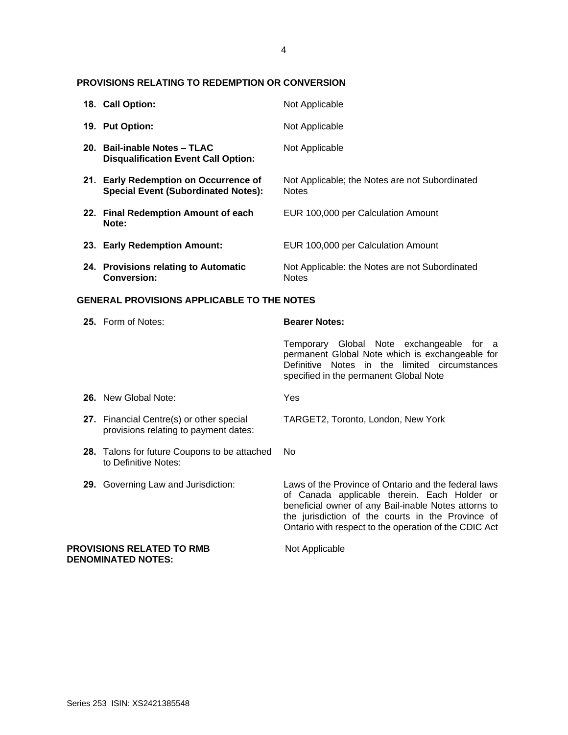### **PROVISIONS RELATING TO REDEMPTION OR CONVERSION**

| 18. Call Option:                                                                    | Not Applicable                                                 |
|-------------------------------------------------------------------------------------|----------------------------------------------------------------|
| 19. Put Option:                                                                     | Not Applicable                                                 |
| 20. Bail-inable Notes - TLAC<br><b>Disqualification Event Call Option:</b>          | Not Applicable                                                 |
| 21. Early Redemption on Occurrence of<br><b>Special Event (Subordinated Notes):</b> | Not Applicable; the Notes are not Subordinated<br><b>Notes</b> |
| 22. Final Redemption Amount of each<br>Note:                                        | EUR 100,000 per Calculation Amount                             |
| 23. Early Redemption Amount:                                                        | EUR 100,000 per Calculation Amount                             |
| 24. Provisions relating to Automatic<br>Conversion:                                 | Not Applicable: the Notes are not Subordinated<br><b>Notes</b> |

#### **GENERAL PROVISIONS APPLICABLE TO THE NOTES**

| 25. Form of Notes:                                                                | <b>Bearer Notes:</b>                                                                                                                                                                                                                                                       |
|-----------------------------------------------------------------------------------|----------------------------------------------------------------------------------------------------------------------------------------------------------------------------------------------------------------------------------------------------------------------------|
|                                                                                   | Temporary Global Note exchangeable for a<br>permanent Global Note which is exchangeable for<br>Definitive Notes in the limited circumstances<br>specified in the permanent Global Note                                                                                     |
| <b>26.</b> New Global Note:                                                       | Yes                                                                                                                                                                                                                                                                        |
| 27. Financial Centre(s) or other special<br>provisions relating to payment dates: | TARGET2, Toronto, London, New York                                                                                                                                                                                                                                         |
| 28. Talons for future Coupons to be attached<br>to Definitive Notes:              | No.                                                                                                                                                                                                                                                                        |
| 29. Governing Law and Jurisdiction:                                               | Laws of the Province of Ontario and the federal laws<br>of Canada applicable therein. Each Holder or<br>beneficial owner of any Bail-inable Notes attorns to<br>the jurisdiction of the courts in the Province of<br>Ontario with respect to the operation of the CDIC Act |

**PROVISIONS RELATED TO RMB** Not Applicable **DENOMINATED NOTES:**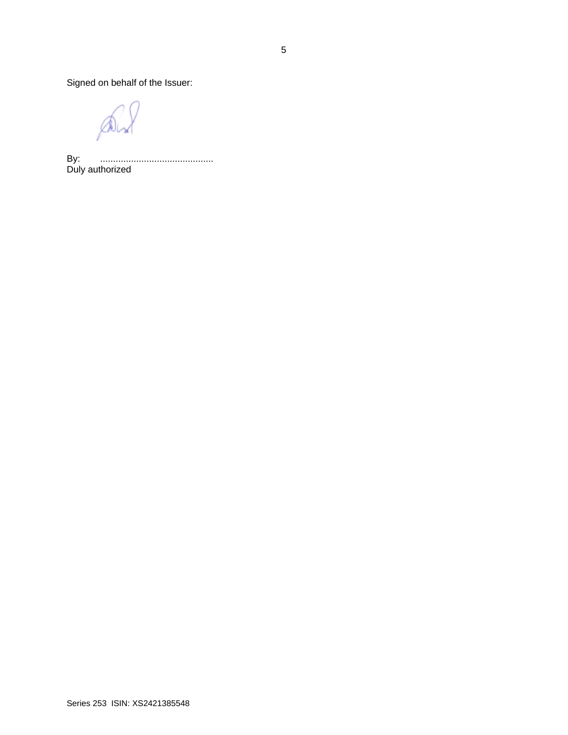Signed on behalf of the Issuer:

 $\mathbb{A}$ 

By: ............................................ Duly authorized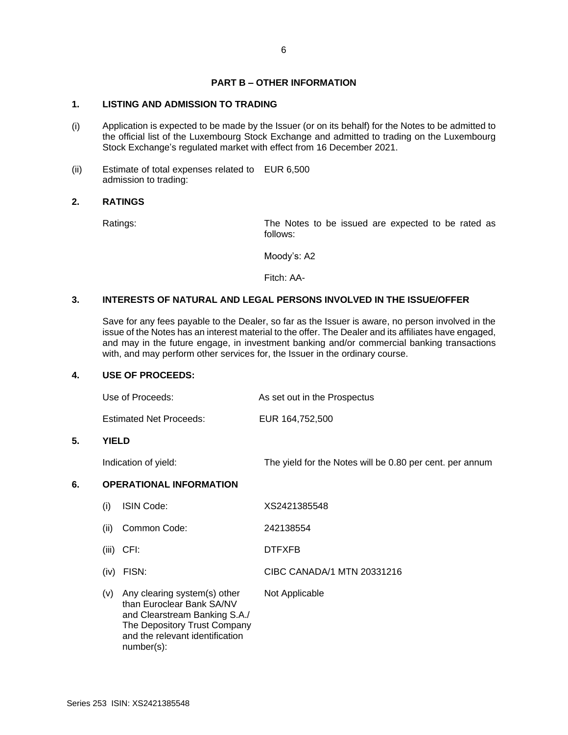## **PART B – OTHER INFORMATION**

## **1. LISTING AND ADMISSION TO TRADING**

- (i) Application is expected to be made by the Issuer (or on its behalf) for the Notes to be admitted to the official list of the Luxembourg Stock Exchange and admitted to trading on the Luxembourg Stock Exchange's regulated market with effect from 16 December 2021.
- (ii) Estimate of total expenses related to EUR 6,500 admission to trading:

#### **2. RATINGS**

Ratings: The Notes to be issued are expected to be rated as follows:

Moody's: A2

Fitch: AA-

#### **3. INTERESTS OF NATURAL AND LEGAL PERSONS INVOLVED IN THE ISSUE/OFFER**

Save for any fees payable to the Dealer, so far as the Issuer is aware, no person involved in the issue of the Notes has an interest material to the offer. The Dealer and its affiliates have engaged, and may in the future engage, in investment banking and/or commercial banking transactions with, and may perform other services for, the Issuer in the ordinary course.

#### **4. USE OF PROCEEDS:**

5.

|    | Use of Proceeds:               | As set out in the Prospectus                             |
|----|--------------------------------|----------------------------------------------------------|
|    | <b>Estimated Net Proceeds:</b> | EUR 164,752,500                                          |
| 5. | <b>YIELD</b>                   |                                                          |
|    | Indication of yield:           | The yield for the Notes will be 0.80 per cent. per annum |
| 6. | <b>OPERATIONAL INFORMATION</b> |                                                          |
|    | <b>ISIN Code:</b><br>(i)       | XS2421385548                                             |
|    | Common Code:<br>(ii)           | 242138554                                                |
|    | $(iii)$ CFI:                   | <b>DTFXFB</b>                                            |
|    | FISN:<br>(iv)                  | CIBC CANADA/1 MTN 20331216                               |
|    |                                |                                                          |

(v) Any clearing system(s) other than Euroclear Bank SA/NV and Clearstream Banking S.A./ The Depository Trust Company and the relevant identification number(s): Not Applicable